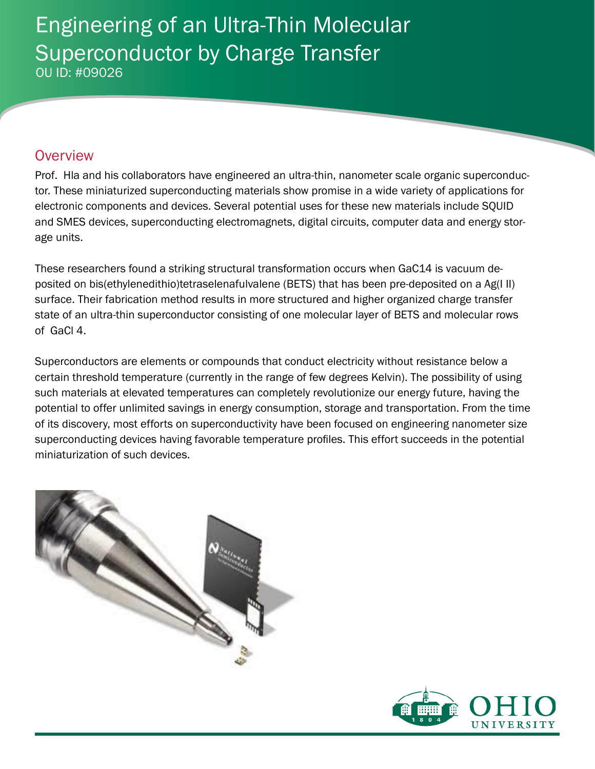# Engineering of an Ultra-Thin Molecular Superconductor by Charge Transfer OU ID: #09026

### **Overview**

Prof. Hla and his collaborators have engineered an ultra-thin, nanometer scale organic superconductor. These miniaturized superconducting materials show promise in a wide variety of applications for electronic components and devices. Several potential uses for these new materials include SQUID and SMES devices, superconducting electromagnets, digital circuits, computer data and energy storage units.

These researchers found a striking structural transformation occurs when GaC14 is vacuum deposited on bis(ethylenedithio)tetraselenafulvalene (BETS) that has been pre-deposited on a Ag(I II) surface. Their fabrication method results in more structured and higher organized charge transfer state of an ultra-thin superconductor consisting of one molecular layer of BETS and molecular rows of GaCl 4.

Superconductors are elements or compounds that conduct electricity without resistance below a certain threshold temperature (currently in the range of few degrees Kelvin). The possibility of using such materials at elevated temperatures can completely revolutionize our energy future, having the potential to offer unlimited savings in energy consumption, storage and transportation. From the time of its discovery, most efforts on superconductivity have been focused on engineering nanometer size superconducting devices having favorable temperature profiles. This effort succeeds in the potential miniaturization of such devices.